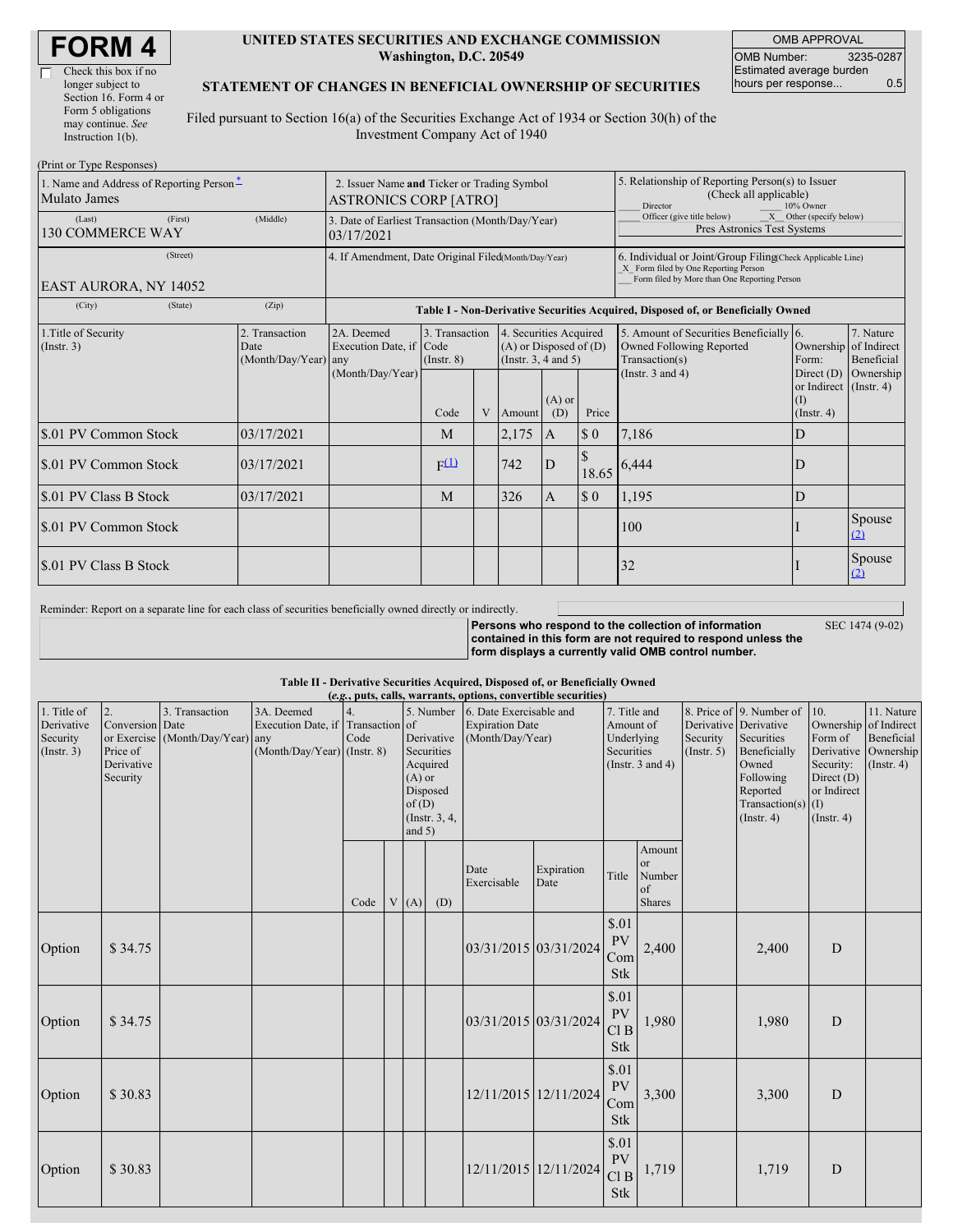| <b>FORM4</b> |
|--------------|
|--------------|

Г

#### **UNITED STATES SECURITIES AND EXCHANGE COMMISSION Washington, D.C. 20549**

OMB APPROVAL OMB Number: 3235-0287 Estimated average burden hours per response... 0.5

SEC 1474 (9-02)

### **STATEMENT OF CHANGES IN BENEFICIAL OWNERSHIP OF SECURITIES**

Filed pursuant to Section 16(a) of the Securities Exchange Act of 1934 or Section 30(h) of the Investment Company Act of 1940

| (Print or Type Responses)                                |                                                                                                                                                  |                                                                                  |                                                                              |   |        |                                                                                                                |                                                                                                                                                    |                                                                                      |                                                   |               |  |
|----------------------------------------------------------|--------------------------------------------------------------------------------------------------------------------------------------------------|----------------------------------------------------------------------------------|------------------------------------------------------------------------------|---|--------|----------------------------------------------------------------------------------------------------------------|----------------------------------------------------------------------------------------------------------------------------------------------------|--------------------------------------------------------------------------------------|---------------------------------------------------|---------------|--|
| 1. Name and Address of Reporting Person-<br>Mulato James | 2. Issuer Name and Ticker or Trading Symbol<br><b>ASTRONICS CORP [ATRO]</b>                                                                      |                                                                                  |                                                                              |   |        |                                                                                                                | 5. Relationship of Reporting Person(s) to Issuer<br>(Check all applicable)<br>10% Owner<br>Director                                                |                                                                                      |                                                   |               |  |
| (First)<br>(Last)<br><b>130 COMMERCE WAY</b>             | (Middle)                                                                                                                                         | 3. Date of Earliest Transaction (Month/Day/Year)<br>03/17/2021                   |                                                                              |   |        |                                                                                                                |                                                                                                                                                    | Officer (give title below)<br>X Other (specify below)<br>Pres Astronics Test Systems |                                                   |               |  |
| (Street)<br>EAST AURORA, NY 14052                        | 4. If Amendment, Date Original Filed(Month/Day/Year)                                                                                             |                                                                                  |                                                                              |   |        |                                                                                                                | 6. Individual or Joint/Group Filing(Check Applicable Line)<br>X Form filed by One Reporting Person<br>Form filed by More than One Reporting Person |                                                                                      |                                                   |               |  |
| (City)<br>(State)                                        | (Zip)                                                                                                                                            | Table I - Non-Derivative Securities Acquired, Disposed of, or Beneficially Owned |                                                                              |   |        |                                                                                                                |                                                                                                                                                    |                                                                                      |                                                   |               |  |
| 1. Title of Security<br>(Insert. 3)                      | 2. Transaction<br>2A. Deemed<br>3. Transaction<br>Execution Date, if Code<br>Date<br>(Month/Day/Year) any<br>$($ Instr. $8)$<br>(Month/Day/Year) |                                                                                  | 4. Securities Acquired<br>$(A)$ or Disposed of $(D)$<br>(Insert. 3, 4 and 5) |   |        | 5. Amount of Securities Beneficially 6.<br>Owned Following Reported<br>Transaction(s)<br>(Instr. $3$ and $4$ ) | Ownership of Indirect<br>Form:<br>Direct $(D)$                                                                                                     | 7. Nature<br><b>Beneficial</b><br>Ownership                                          |                                                   |               |  |
|                                                          |                                                                                                                                                  |                                                                                  | Code                                                                         | V | Amount | $(A)$ or<br>(D)                                                                                                | Price                                                                                                                                              |                                                                                      | or Indirect (Instr. 4)<br>(I)<br>$($ Instr. 4 $)$ |               |  |
| \$.01 PV Common Stock                                    | 03/17/2021                                                                                                                                       |                                                                                  | M                                                                            |   | 2,175  | $\mathbf{A}$                                                                                                   | $\boldsymbol{\mathsf{S}}$ 0                                                                                                                        | 7,186                                                                                | D                                                 |               |  |
| \$.01 PV Common Stock                                    | 03/17/2021                                                                                                                                       |                                                                                  | F(1)                                                                         |   | 742    | D                                                                                                              | 18.65                                                                                                                                              | 6,444                                                                                | D                                                 |               |  |
| S.01 PV Class B Stock                                    | 03/17/2021                                                                                                                                       |                                                                                  | M                                                                            |   | 326    | $\overline{A}$                                                                                                 | $\boldsymbol{\mathsf{S}}\boldsymbol{\mathsf{0}}$                                                                                                   | 1,195                                                                                | D                                                 |               |  |
| S.01 PV Common Stock                                     |                                                                                                                                                  |                                                                                  |                                                                              |   |        |                                                                                                                |                                                                                                                                                    | 100                                                                                  |                                                   | Spouse<br>(2) |  |
| S.01 PV Class B Stock                                    |                                                                                                                                                  |                                                                                  |                                                                              |   |        |                                                                                                                |                                                                                                                                                    | 32                                                                                   |                                                   | Spouse<br>(2) |  |

Reminder: Report on a separate line for each class of securities beneficially owned directly or indirectly.

**Persons who respond to the collection of information contained in this form are not required to respond unless the form displays a currently valid OMB control number.**

**Table II - Derivative Securities Acquired, Disposed of, or Beneficially Owned (***e.g.***, puts, calls, warrants, options, convertible securities)**

| 1. Title of<br>Derivative<br>Security<br>(Insert. 3) | 2.<br>Conversion Date<br>Price of<br>Derivative<br>Security | 3. Transaction<br>or Exercise (Month/Day/Year) any | 3A. Deemed<br>Execution Date, if Transaction of<br>$(Month/Day/Year)$ (Instr. 8) | 4.<br>Code | $(A)$ or<br>of(D)<br>and $5)$ | 5. Number<br>Derivative<br>Securities<br>Acquired<br>Disposed<br>(Instr. 3, 4, | (e.g., pater, ening wait aller, operatio, convertione securities<br>6. Date Exercisable and<br><b>Expiration Date</b><br>(Month/Day/Year) |                       | 7. Title and<br>Amount of<br>Underlying<br>Securities<br>(Instr. $3$ and $4$ ) |                                        |  |       | Derivative Derivative<br>Security<br>(Insert. 5) | 8. Price of 9. Number of 10.<br>Securities<br>Beneficially<br>Owned<br>Following<br>Reported<br>Transaction(s) $(I)$<br>(Insert. 4) | Ownership of Indirect<br>Form of<br>Derivative Ownership<br>Security:<br>Direct (D)<br>or Indirect<br>(Insert. 4) | 11. Nature<br>Beneficial<br>$($ Instr. 4 $)$ |
|------------------------------------------------------|-------------------------------------------------------------|----------------------------------------------------|----------------------------------------------------------------------------------|------------|-------------------------------|--------------------------------------------------------------------------------|-------------------------------------------------------------------------------------------------------------------------------------------|-----------------------|--------------------------------------------------------------------------------|----------------------------------------|--|-------|--------------------------------------------------|-------------------------------------------------------------------------------------------------------------------------------------|-------------------------------------------------------------------------------------------------------------------|----------------------------------------------|
|                                                      |                                                             |                                                    |                                                                                  | Code       | V(A)                          | (D)                                                                            | Date<br>Exercisable                                                                                                                       | Expiration<br>Date    | Title                                                                          | Amount<br>or<br>Number<br>of<br>Shares |  |       |                                                  |                                                                                                                                     |                                                                                                                   |                                              |
| Option                                               | \$34.75                                                     |                                                    |                                                                                  |            |                               |                                                                                |                                                                                                                                           | 03/31/2015 03/31/2024 | \$.01<br>${\rm PV}$<br>Com<br>Stk                                              | 2,400                                  |  | 2,400 | D                                                |                                                                                                                                     |                                                                                                                   |                                              |
| Option                                               | \$34.75                                                     |                                                    |                                                                                  |            |                               |                                                                                |                                                                                                                                           | 03/31/2015 03/31/2024 | \$.01<br>PV<br>Cl B<br><b>Stk</b>                                              | 1,980                                  |  | 1,980 | D                                                |                                                                                                                                     |                                                                                                                   |                                              |
| Option                                               | \$30.83                                                     |                                                    |                                                                                  |            |                               |                                                                                |                                                                                                                                           | 12/11/2015 12/11/2024 | \$.01<br>${\rm PV}$<br>Com<br>Stk                                              | 3,300                                  |  | 3,300 | D                                                |                                                                                                                                     |                                                                                                                   |                                              |
| Option                                               | \$30.83                                                     |                                                    |                                                                                  |            |                               |                                                                                |                                                                                                                                           | 12/11/2015 12/11/2024 | \$.01<br>PV<br>Cl <sub>B</sub><br><b>Stk</b>                                   | 1,719                                  |  | 1,719 | D                                                |                                                                                                                                     |                                                                                                                   |                                              |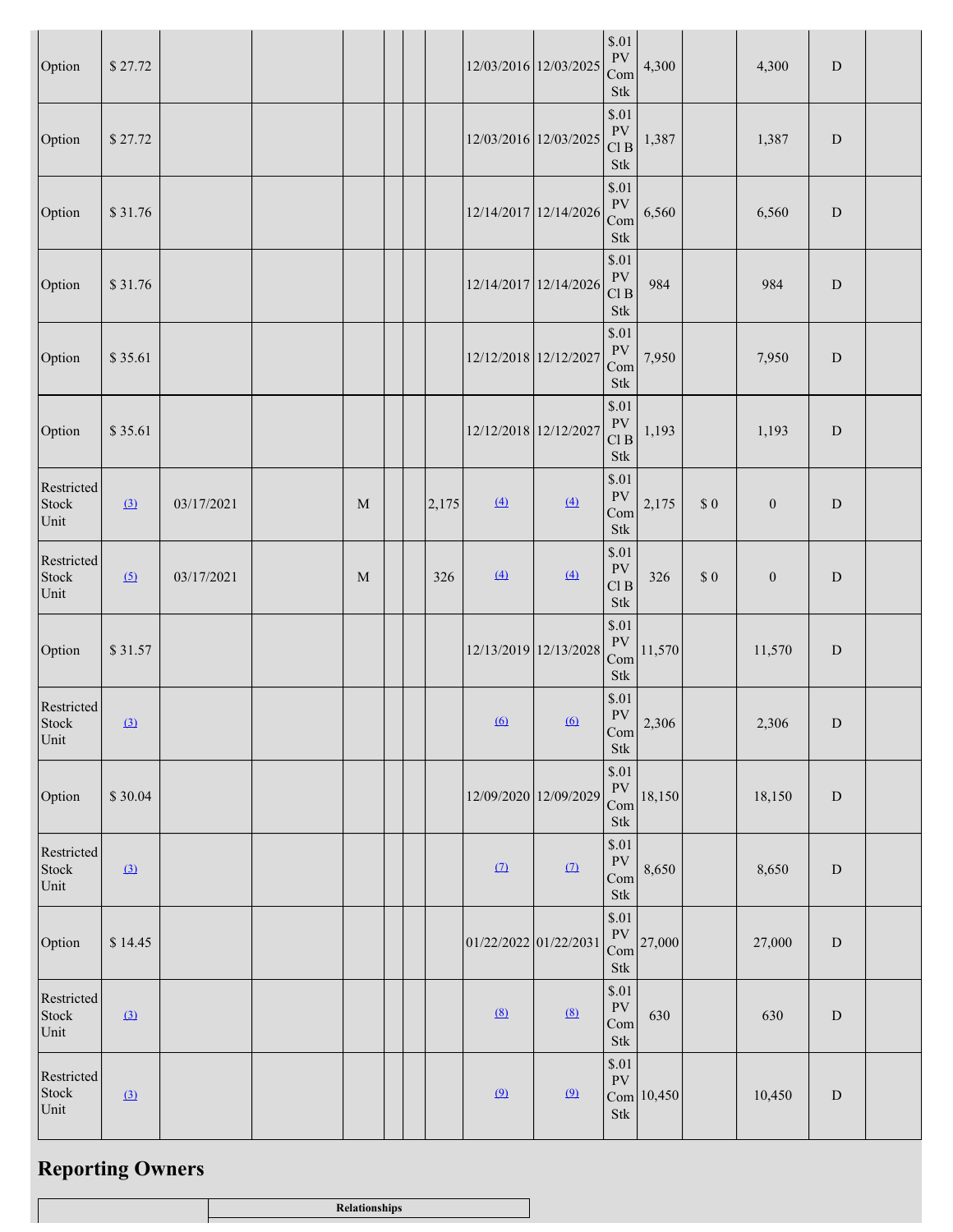| Option                                                                                                      | \$27.72  |            |             |       |                       | 12/03/2016 12/03/2025 | $\$.01$<br>${\rm PV}$<br>Com<br><b>Stk</b>                                                                                                                                                 | 4,300      |          | 4,300            | ${\rm D}$ |  |
|-------------------------------------------------------------------------------------------------------------|----------|------------|-------------|-------|-----------------------|-----------------------|--------------------------------------------------------------------------------------------------------------------------------------------------------------------------------------------|------------|----------|------------------|-----------|--|
| Option                                                                                                      | \$27.72  |            |             |       |                       | 12/03/2016 12/03/2025 | \$.01<br>${\rm PV}$<br>Cl B<br><b>Stk</b>                                                                                                                                                  | 1,387      |          | 1,387            | ${\bf D}$ |  |
| Option                                                                                                      | \$31.76  |            |             |       | 12/14/2017 12/14/2026 |                       | \$.01<br>PV<br>Com<br>Stk                                                                                                                                                                  | 6,560      |          | 6,560            | ${\rm D}$ |  |
| Option                                                                                                      | \$31.76  |            |             |       | 12/14/2017 12/14/2026 |                       | \$.01<br><b>PV</b><br>Cl B<br>$\operatorname*{Stk}% \nolimits_{\mathbb{Z}}\left( \mathbb{Z}^{\Sigma\left( 1\right) }% ,\mathbb{Z}^{\Sigma\left( 2\right) }\right)$                         | 984        |          | 984              | ${\rm D}$ |  |
| Option                                                                                                      | \$35.61  |            |             |       | 12/12/2018 12/12/2027 |                       | \$.01<br>${\rm PV}$<br>Com<br>$\operatorname*{Stk}% \nolimits_{\mathbb{Z}}\left( \mathbb{Z}^{\Sigma\left( 1\right) }% ,\mathbb{Z}^{\Sigma\left( 2\right) }\right)$                         | 7,950      |          | 7,950            | ${\bf D}$ |  |
| Option                                                                                                      | \$35.61  |            |             |       | 12/12/2018 12/12/2027 |                       | \$.01<br>${\rm PV}$<br>Cl B<br>Stk                                                                                                                                                         | 1,193      |          | 1,193            | ${\bf D}$ |  |
| Restricted<br>Stock<br>Unit                                                                                 | (3)      | 03/17/2021 | $\mathbf M$ | 2,175 | (4)                   | (4)                   | \$.01<br><b>PV</b><br>Com<br><b>Stk</b>                                                                                                                                                    | 2,175      | $\$$ $0$ | $\boldsymbol{0}$ | ${\bf D}$ |  |
| Restricted<br>Stock<br>Unit                                                                                 | (5)      | 03/17/2021 | $\mathbf M$ | 326   | $\left(4\right)$      | (4)                   | \$.01<br><b>PV</b><br>$\mathop{\rm Cl}\nolimits$ B<br>$\operatorname*{Stk}% \nolimits_{\mathbb{Z}}\left( \mathbb{Z}^{\Sigma\left( 1\right) }% ,\mathbb{Z}^{\Sigma\left( 2\right) }\right)$ | 326        | $\$$ $0$ | $\boldsymbol{0}$ | ${\bf D}$ |  |
| Option                                                                                                      | \$31.57  |            |             |       | 12/13/2019 12/13/2028 |                       | \$.01<br><b>PV</b><br>Com<br>Stk                                                                                                                                                           | 11,570     |          | 11,570           | ${\rm D}$ |  |
| Restricted<br>$\operatorname*{Stock}% \left( X\right) \equiv\operatorname*{Stock}(\mathbb{R}^{2n})$<br>Unit | $\Omega$ |            |             |       | $\overline{6}$        | $\underline{(6)}$     | \$.01<br><b>PV</b><br>Com<br>$\operatorname*{Stk}% \nolimits_{\mathbb{Z}}\left( \mathbb{Z}^{\Sigma\left( 1\right) }% ,\mathbb{Z}^{\Sigma\left( 2\right) }\right)$                          | 2,306      |          | 2,306            | ${\rm D}$ |  |
| Option                                                                                                      | \$30.04  |            |             |       |                       | 12/09/2020 12/09/2029 | \$.01<br>${\rm PV}$<br>Com<br>$\operatorname*{Stk}% \nolimits_{\mathbb{Z}}\left( \mathbb{Z}^{\Sigma\left( 1\right) }% ,\mathbb{Z}^{\Sigma\left( 2\right) }\right)$                         | 18,150     |          | 18,150           | ${\bf D}$ |  |
| Restricted<br>Stock<br>Unit                                                                                 | (3)      |            |             |       | $\Omega$              | (7)                   | \$.01<br>${\rm PV}$<br>Com<br>Stk                                                                                                                                                          | 8,650      |          | 8,650            | ${\rm D}$ |  |
| Option                                                                                                      | \$14.45  |            |             |       | 01/22/2022 01/22/2031 |                       | \$.01<br>${\rm PV}$<br>Com<br>$\operatorname*{Stk}% \nolimits_{\mathbb{Z}}\left( \mathbb{Z}^{\Sigma\left( 1\right) }% ,\mathbb{Z}^{\Sigma\left( 2\right) }\right)$                         | 27,000     |          | 27,000           | ${\rm D}$ |  |
| Restricted<br>Stock<br>Unit                                                                                 | $\Omega$ |            |             |       | (8)                   | (8)                   | \$.01<br>${\rm PV}$<br>Com<br>$\operatorname*{Stk}% \nolimits_{\mathbb{Z}}\left( \mathbb{Z}^{\Sigma\left( 1\right) }% ,\mathbb{Z}^{\Sigma\left( 2\right) }\right)$                         | 630        |          | 630              | ${\rm D}$ |  |
| Restricted<br>Stock<br>Unit                                                                                 | (3)      |            |             |       | (9)                   | $\Omega$              | \$.01<br>${\rm PV}$<br>Stk                                                                                                                                                                 | Com 10,450 |          | 10,450           | ${\bf D}$ |  |

# **Reporting Owners**

| TTCINCIONIA |
|-------------|
|             |